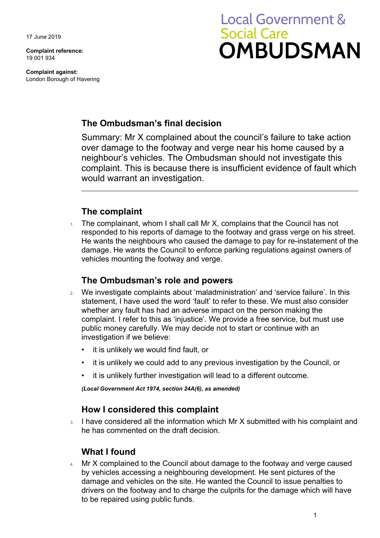17 June 2019

**Complaint reference:**  19 001 934

**Complaint against:**  London Borough of Havering

# **Local Government & Social Care OMBUDSMAN**

### **The Ombudsman's final decision**

Summary: Mr X complained about the council's failure to take action over damage to the footway and verge near his home caused by a neighbour's vehicles. The Ombudsman should not investigate this complaint. This is because there is insufficient evidence of fault which would warrant an investigation.

### **The complaint**

 responded to his reports of damage to the footway and grass verge on his street. He wants the neighbours who caused the damage to pay for re-instatement of the 1. The complainant, whom I shall call Mr X, complains that the Council has not damage. He wants the Council to enforce parking regulations against owners of vehicles mounting the footway and verge.

#### **The Ombudsman's role and powers**

- 2. We investigate complaints about 'maladministration' and 'service failure'. In this statement, I have used the word 'fault' to refer to these. We must also consider whether any fault has had an adverse impact on the person making the complaint. I refer to this as 'injustice'. We provide a free service, but must use public money carefully. We may decide not to start or continue with an investigation if we believe:
	- it is unlikely we would find fault, or
	- it is unlikely we could add to any previous investigation by the Council, or
	- it is unlikely further investigation will lead to a different outcome.

*(Local Government Act 1974, section 24A(6), as amended)* 

#### **How I considered this complaint**

3. I have considered all the information which Mr X submitted with his complaint and he has commented on the draft decision.

## **What I found**

4. Mr X complained to the Council about damage to the footway and verge caused by vehicles accessing a neighbouring development. He sent pictures of the damage and vehicles on the site. He wanted the Council to issue penalties to drivers on the footway and to charge the culprits for the damage which will have to be repaired using public funds.